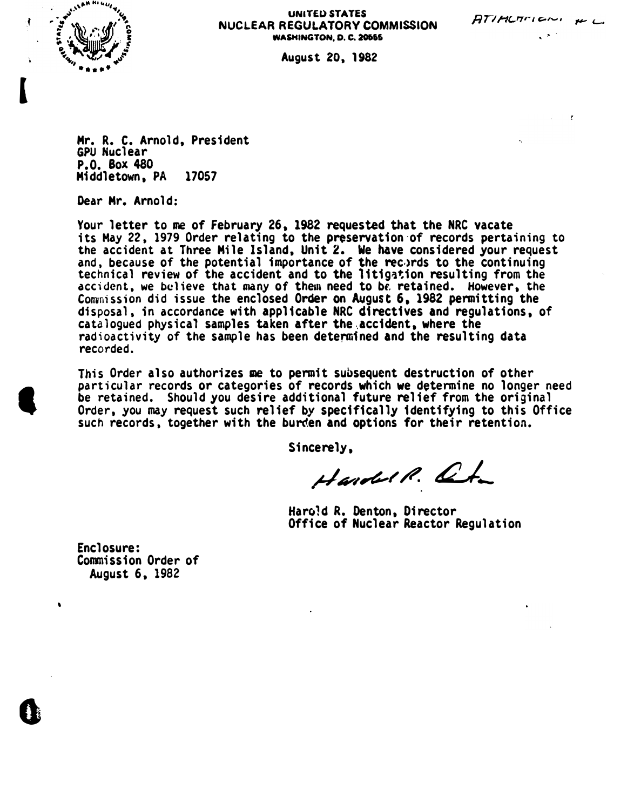

l

 $\bullet$ 

'

0

#### UNIT£U STATES NUCLEAR REGULATORY COMMISSION **WASHINGTON, D. C. 20555**

 $ATTHCTT$  $\sim$ 

.. .

 $\mathcal{L}$ 

August 20, 1982

Mr. R. C. Arnold, President GPU Nuclear P.O. Box 480 Middletown, PA 17057

Dear Mr. Arnold:

Your letter to me of February 26. 1982 requested that the NRC vacate its May 22, 1979 Order relating to the preservation of records pertaining to the accident at Three Mile Island, Unit 2. We have considered your request and, because of the potential importance of the rec.)rds to the continuing technical review of the accident and to the litigation resulting from the accident, we believe that many of them need to be retained. However, the Commission did issue the enclosed Order on August 6, 1982 permitting the disposal, in accordance with applicable NRC directives and regulations, of catalogued physical samples taken after the.accident, where the radioactivity of the sample has been determined and the resulting data recorded.

This Order also authorizes me to permit subsequent destruction of other particular records or categories of records which we detennine no longer need be retained. Should you desire additional future relief from the original Order, you may request such relief by specifically identifying to this Office such records, together with the burden and options for their retention.

Sincerely,

Hardel R. Och

Har�1d R. Denton, Director Office of Nuclear Reactor Regulation

Enclosure: Commission Order of August 6, 1982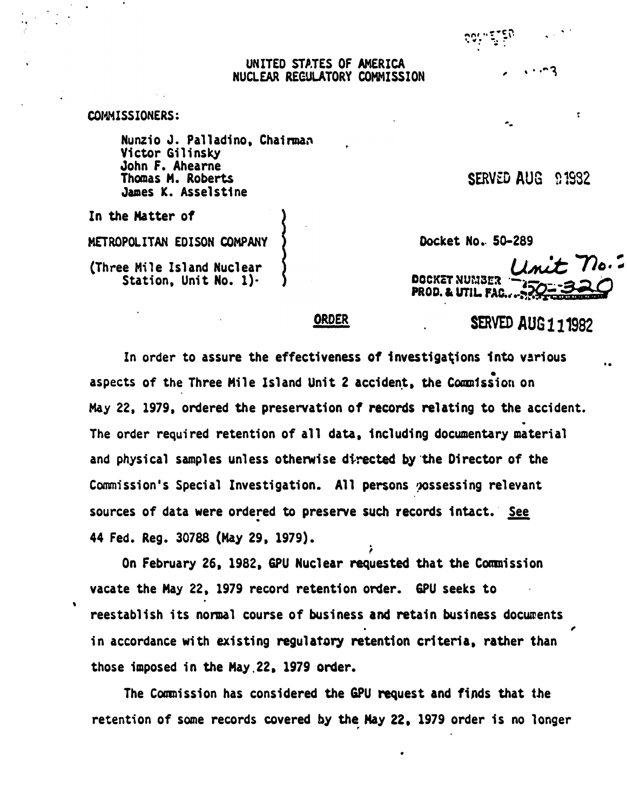### UNITED STATES OF AMERICA NUCLEAR REGULATORY COMMISSION

### COMMISSIONERS:

Nunzio J. Palladino. Chairman Victor Gilinsky John F. Ahearne Thomas M. Roberts James K. Asselstine

In the Matter of

METROPOLITAN EDISON COMPANY

(Three Mile Island Nuclear Station, Unit No. 1).

SERVED AUG 91982

、・・・・つつ

Ť.

Docket No. 50-289

Unit no. DOCKET NUMBER PROD. & UTIL FAC...

#### **ORDER**

# **SERVED AUG 1 1 1982**

In order to assure the effectiveness of investigations into various aspects of the Three Mile Island Unit 2 accident. the Commission on May 22, 1979, ordered the preservation of records relating to the accident. The order required retention of all data, including documentary material and physical samples unless otherwise directed by the Director of the Commission's Special Investigation. All persons possessing relevant sources of data were ordered to preserve such records intact. See 44 Fed. Req. 30788 (May 29, 1979).

On February 26, 1982, GPU Nuclear requested that the Commission vacate the May 22, 1979 record retention order. GPU seeks to reestablish its normal course of business and retain business documents in accordance with existing regulatory retention criteria, rather than those imposed in the May 22, 1979 order.

The Commission has considered the GPU request and finds that the retention of some records covered by the May 22, 1979 order is no longer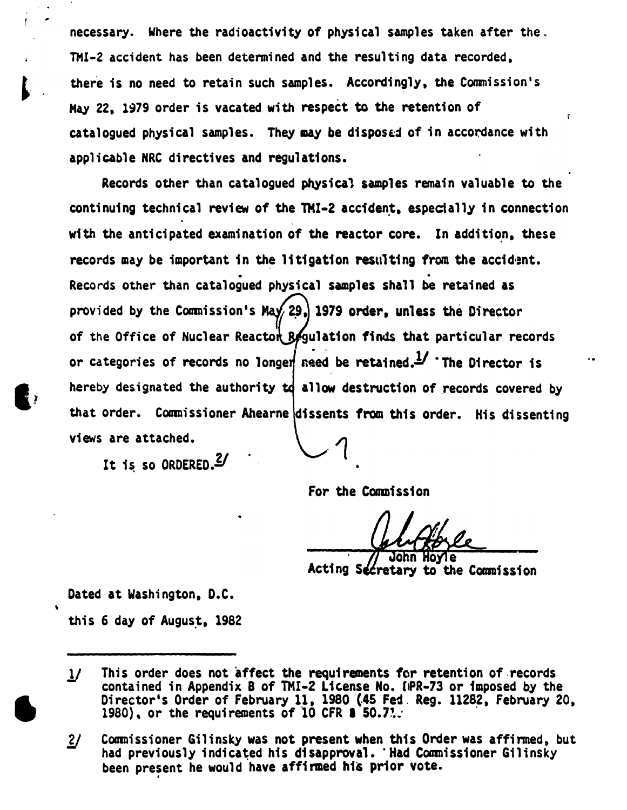necessary. Where the radioactivity of physical samples taken after the. TMI-2 accident has been determined and the resulting data recorded, there is no need to retain such samples. Accordingly, the Commission's May 22, 1979 order is vacated with respect to the retention of catalogued physical samples. They may be disposed of in accordance with applicable NRC directives and regulations.

Records other than catalogued physical samples remain valuable to the continuing technical review of the TMI-2 accident, especially in connection with the anticipated examination of the reactor core. In addition. these records may be important in the litigation resulting from the accident. Records other than catalogued physical samples shall be retained as provided by the Commission's May  $29$ , 1979 order, unless the Director of the Office of Nuclear Reactor Begulation finds that particular records or categories of records no longen need be retained.  $\frac{1}{1}$  The Director is hereby designated the authority  $t\dot{q}$  allow destruction of records covered by that order. Commissioner Ahearne dissents from this order. His dissenting views are attached.

It is so ORDERED. $\frac{2}{3}$ 

For the Commission

•

John Hoyle Acting Secretary to the Commission

Dated at Washington. D.C.

\

 $\bullet$ 

this 6 day of Augus�. 1982

 $\frac{1}{2}$ This order does not affect the requirements for retention of records contained in Appendix B of TMI-2 License No.  $IPR-73$  or imposed by the Director's Order of February 11, 1980 (45 Fed. Reg. 11282, February 20, 1980), or the requirements of 10 CFR  $\blacksquare$  50.7...

Commissioner Gilinsky was not present when this Order was affirmed, but  $2/$ had previously indicated his disapproval. 'Had Commissioner Gilinsky been present he would have affinaed his prior vote. '